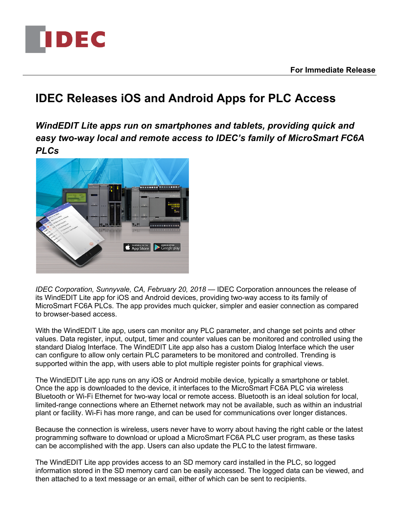

## **IDEC Releases iOS and Android Apps for PLC Access**

*WindEDIT Lite apps run on smartphones and tablets, providing quick and easy two-way local and remote access to IDEC's family of MicroSmart FC6A PLCs*



*IDEC Corporation, Sunnyvale, CA, February 20, 2018* — IDEC Corporation announces the release of its WindEDIT Lite app for iOS and Android devices, providing two-way access to its family of MicroSmart FC6A PLCs. The app provides much quicker, simpler and easier connection as compared to browser-based access.

With the WindEDIT Lite app, users can monitor any PLC parameter, and change set points and other values. Data register, input, output, timer and counter values can be monitored and controlled using the standard Dialog Interface. The WindEDIT Lite app also has a custom Dialog Interface which the user can configure to allow only certain PLC parameters to be monitored and controlled. Trending is supported within the app, with users able to plot multiple register points for graphical views.

The WindEDIT Lite app runs on any iOS or Android mobile device, typically a smartphone or tablet. Once the app is downloaded to the device, it interfaces to the MicroSmart FC6A PLC via wireless Bluetooth or Wi-Fi Ethernet for two-way local or remote access. Bluetooth is an ideal solution for local, limited-range connections where an Ethernet network may not be available, such as within an industrial plant or facility. Wi-Fi has more range, and can be used for communications over longer distances.

Because the connection is wireless, users never have to worry about having the right cable or the latest programming software to download or upload a MicroSmart FC6A PLC user program, as these tasks can be accomplished with the app. Users can also update the PLC to the latest firmware.

The WindEDIT Lite app provides access to an SD memory card installed in the PLC, so logged information stored in the SD memory card can be easily accessed. The logged data can be viewed, and then attached to a text message or an email, either of which can be sent to recipients.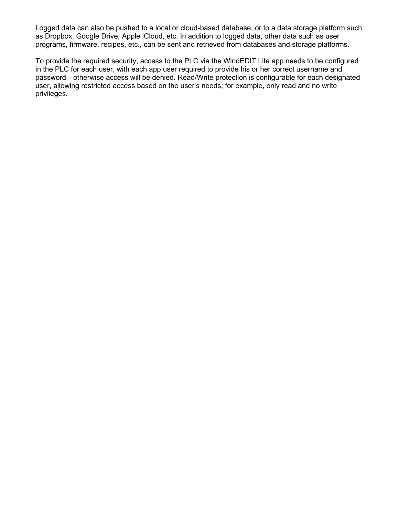Logged data can also be pushed to a local or cloud-based database, or to a data storage platform such as Dropbox, Google Drive, Apple iCloud, etc. In addition to logged data, other data such as user programs, firmware, recipes, etc., can be sent and retrieved from databases and storage platforms.

To provide the required security, access to the PLC via the WindEDIT Lite app needs to be configured in the PLC for each user, with each app user required to provide his or her correct username and password—otherwise access will be denied. Read/Write protection is configurable for each designated user, allowing restricted access based on the user's needs; for example, only read and no write privileges.